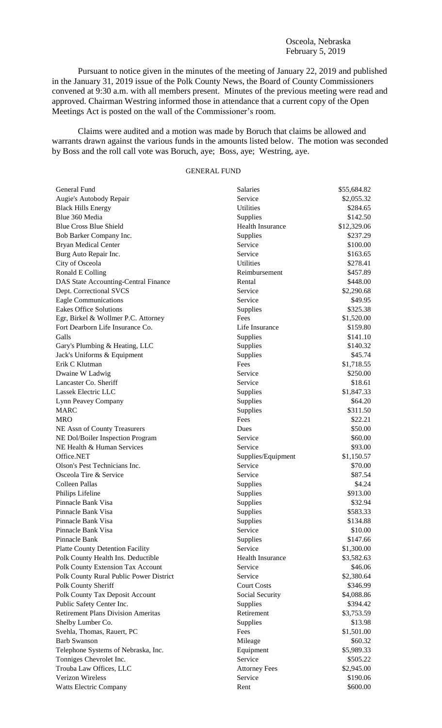### Osceola, Nebraska February 5, 2019

Pursuant to notice given in the minutes of the meeting of January 22, 2019 and published in the January 31, 2019 issue of the Polk County News, the Board of County Commissioners convened at 9:30 a.m. with all members present. Minutes of the previous meeting were read and approved. Chairman Westring informed those in attendance that a current copy of the Open Meetings Act is posted on the wall of the Commissioner's room.

Claims were audited and a motion was made by Boruch that claims be allowed and warrants drawn against the various funds in the amounts listed below. The motion was seconded by Boss and the roll call vote was Boruch, aye; Boss, aye; Westring, aye.

# GENERAL FUND

| General Fund                              | Salaries                | \$55,684.82 |
|-------------------------------------------|-------------------------|-------------|
| Augie's Autobody Repair                   | Service                 | \$2,055.32  |
| <b>Black Hills Energy</b>                 | Utilities               | \$284.65    |
| Blue 360 Media                            | Supplies                | \$142.50    |
| <b>Blue Cross Blue Shield</b>             | <b>Health Insurance</b> | \$12,329.06 |
| Bob Barker Company Inc.                   | Supplies                | \$237.29    |
| <b>Bryan Medical Center</b>               | Service                 | \$100.00    |
| Burg Auto Repair Inc.                     | Service                 | \$163.65    |
| City of Osceola                           | <b>Utilities</b>        | \$278.41    |
| Ronald E Colling                          | Reimbursement           | \$457.89    |
| DAS State Accounting-Central Finance      | Rental                  | \$448.00    |
| Dept. Correctional SVCS                   | Service                 | \$2,290.68  |
| <b>Eagle Communications</b>               | Service                 | \$49.95     |
| <b>Eakes Office Solutions</b>             | Supplies                | \$325.38    |
| Egr, Birkel & Wollmer P.C. Attorney       | Fees                    | \$1,520.00  |
| Fort Dearborn Life Insurance Co.          | Life Insurance          | \$159.80    |
| Galls                                     | Supplies                | \$141.10    |
| Gary's Plumbing & Heating, LLC            | Supplies                | \$140.32    |
| Jack's Uniforms & Equipment               | Supplies                | \$45.74     |
| Erik C Klutman                            | Fees                    | \$1,718.55  |
| Dwaine W Ladwig                           | Service                 | \$250.00    |
| Lancaster Co. Sheriff                     | Service                 | \$18.61     |
| Lassek Electric LLC                       | Supplies                | \$1,847.33  |
| Lynn Peavey Company                       | Supplies                | \$64.20     |
| <b>MARC</b>                               | Supplies                | \$311.50    |
| <b>MRO</b>                                | Fees                    | \$22.21     |
| NE Assn of County Treasurers              | Dues                    | \$50.00     |
| NE Dol/Boiler Inspection Program          | Service                 | \$60.00     |
| NE Health & Human Services                | Service                 | \$93.00     |
| Office.NET                                | Supplies/Equipment      | \$1,150.57  |
| Olson's Pest Technicians Inc.             | Service                 | \$70.00     |
| Osceola Tire & Service                    | Service                 | \$87.54     |
| Colleen Pallas                            | Supplies                | \$4.24      |
| Philips Lifeline                          | Supplies                | \$913.00    |
| Pinnacle Bank Visa                        | Supplies                | \$32.94     |
| Pinnacle Bank Visa                        | Supplies                | \$583.33    |
| Pinnacle Bank Visa                        |                         | \$134.88    |
|                                           | Supplies                |             |
| Pinnacle Bank Visa<br>Pinnacle Bank       | Service                 | \$10.00     |
|                                           | Supplies                | \$147.66    |
| <b>Platte County Detention Facility</b>   | Service                 | \$1,300.00  |
| Polk County Health Ins. Deductible        | <b>Health Insurance</b> | \$3,582.63  |
| Polk County Extension Tax Account         | Service                 | \$46.06     |
| Polk County Rural Public Power District   | Service                 | \$2,380.64  |
| Polk County Sheriff                       | <b>Court Costs</b>      | \$346.99    |
| Polk County Tax Deposit Account           | Social Security         | \$4,088.86  |
| Public Safety Center Inc.                 | Supplies                | \$394.42    |
| <b>Retirement Plans Division Ameritas</b> | Retirement              | \$3,753.59  |
| Shelby Lumber Co.                         | Supplies                | \$13.98     |
| Svehla, Thomas, Rauert, PC                | Fees                    | \$1,501.00  |
| <b>Barb Swanson</b>                       | Mileage                 | \$60.32     |
| Telephone Systems of Nebraska, Inc.       | Equipment               | \$5,989.33  |
| Tonniges Chevrolet Inc.                   | Service                 | \$505.22    |
| Trouba Law Offices, LLC                   | <b>Attorney Fees</b>    | \$2,945.00  |
| <b>Verizon Wireless</b>                   | Service                 | \$190.06    |
| <b>Watts Electric Company</b>             | Rent                    | \$600.00    |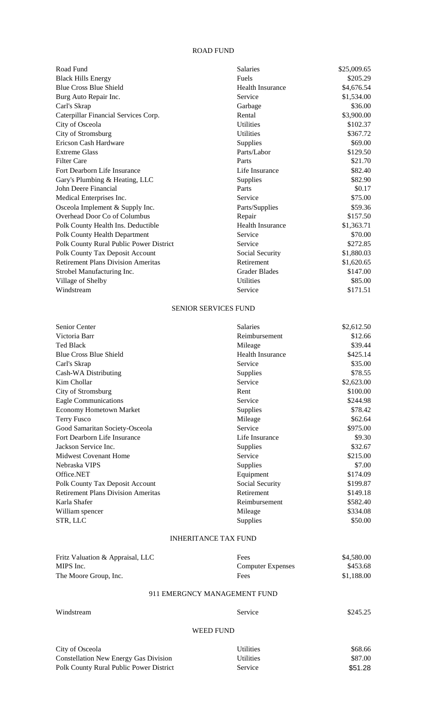#### ROAD FUND

| Road Fund                                 | <b>Salaries</b>         | \$25,009.65 |
|-------------------------------------------|-------------------------|-------------|
| <b>Black Hills Energy</b>                 | Fuels                   | \$205.29    |
| <b>Blue Cross Blue Shield</b>             | <b>Health Insurance</b> | \$4,676.54  |
| Burg Auto Repair Inc.                     | Service                 | \$1,534.00  |
| Carl's Skrap                              | Garbage                 | \$36.00     |
| Caterpillar Financial Services Corp.      | Rental                  | \$3,900.00  |
| City of Osceola                           | <b>Utilities</b>        | \$102.37    |
| City of Stromsburg                        | <b>Utilities</b>        | \$367.72    |
| Ericson Cash Hardware                     | Supplies                | \$69.00     |
| <b>Extreme Glass</b>                      | Parts/Labor             | \$129.50    |
| <b>Filter Care</b>                        | Parts                   | \$21.70     |
| Fort Dearborn Life Insurance              | Life Insurance          | \$82.40     |
| Gary's Plumbing & Heating, LLC            | Supplies                | \$82.90     |
| John Deere Financial                      | Parts                   | \$0.17      |
| Medical Enterprises Inc.                  | Service                 | \$75.00     |
| Osceola Implement & Supply Inc.           | Parts/Supplies          | \$59.36     |
| Overhead Door Co of Columbus              | Repair                  | \$157.50    |
| Polk County Health Ins. Deductible        | <b>Health Insurance</b> | \$1,363.71  |
| Polk County Health Department             | Service                 | \$70.00     |
| Polk County Rural Public Power District   | Service                 | \$272.85    |
| Polk County Tax Deposit Account           | Social Security         | \$1,880.03  |
| <b>Retirement Plans Division Ameritas</b> | Retirement              | \$1,620.65  |
| Strobel Manufacturing Inc.                | <b>Grader Blades</b>    | \$147.00    |
| Village of Shelby                         | <b>Utilities</b>        | \$85.00     |
| Windstream                                | Service                 | \$171.51    |

## SENIOR SERVICES FUND

| Senior Center                             | Salaries                | \$2,612.50 |
|-------------------------------------------|-------------------------|------------|
| Victoria Barr                             | Reimbursement           | \$12.66    |
| <b>Ted Black</b>                          | Mileage                 | \$39.44    |
| <b>Blue Cross Blue Shield</b>             | <b>Health Insurance</b> | \$425.14   |
| Carl's Skrap                              | Service                 | \$35.00    |
| Cash-WA Distributing                      | Supplies                | \$78.55    |
| Kim Chollar                               | Service                 | \$2,623.00 |
| City of Stromsburg                        | Rent                    | \$100.00   |
| Eagle Communications                      | Service                 | \$244.98   |
| <b>Economy Hometown Market</b>            | Supplies                | \$78.42    |
| <b>Terry Fusco</b>                        | Mileage                 | \$62.64    |
| Good Samaritan Society-Osceola            | Service                 | \$975.00   |
| Fort Dearborn Life Insurance              | Life Insurance          | \$9.30     |
| Jackson Service Inc.                      | Supplies                | \$32.67    |
| <b>Midwest Covenant Home</b>              | Service                 | \$215.00   |
| Nebraska VIPS                             | Supplies                | \$7.00     |
| Office.NET                                | Equipment               | \$174.09   |
| Polk County Tax Deposit Account           | Social Security         | \$199.87   |
| <b>Retirement Plans Division Ameritas</b> | Retirement              | \$149.18   |
| Karla Shafer                              | Reimbursement           | \$582.40   |
| William spencer                           | Mileage                 | \$334.08   |
| STR, LLC                                  | Supplies                | \$50.00    |
|                                           |                         |            |

## INHERITANCE TAX FUND

| Fritz Valuation & Appraisal, LLC | Fees                         | \$4,580.00 |
|----------------------------------|------------------------------|------------|
| MIPS Inc.                        | <b>Computer Expenses</b>     | \$453.68   |
| The Moore Group, Inc.            | Fees                         | \$1,188.00 |
|                                  | 911 EMERGNCY MANAGEMENT FUND |            |

| Windstream | Service | \$245.25 |
|------------|---------|----------|
|            |         |          |

# WEED FUND

| City of Osceola                         | <b>Utilities</b> | \$68.66 |
|-----------------------------------------|------------------|---------|
| Constellation New Energy Gas Division   | <b>Utilities</b> | \$87.00 |
| Polk County Rural Public Power District | <b>Service</b>   | \$51.28 |